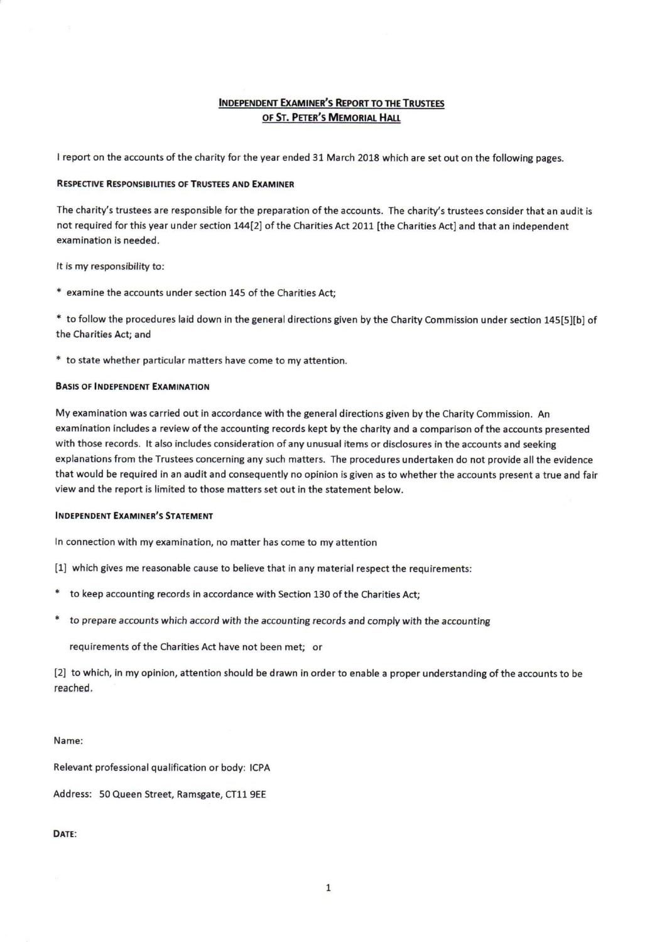#### **INDEPENDENT EXAMINER'S REPORT TO THE TRUSTEES** OF ST. PETER'S MEMORIAL HALL

<sup>I</sup> report on the accounts of the charity for the year ended 31 March 2018 which are set out on the following pages.

#### RESPECTIVE RESPONSISIUTIES Of TRUSTEEs AND ExAMINER

The charity's trustees are responsible for the preparation of the accounts. The charity's trustees consider that an audit is not required for this year under section 144[2] of the Charities Act 2011 [the Charities Act] and that an independent examination is needed.

It is my responsibility to:

examine the accounts under section 145 of the Charities Act;

to follow the procedures laid down in the general directions given by the Charity Commission under section 145[5][b] of the Charities Act; and

" to state whether particular matters have come to my attention.

#### BASIS OF INDEPENDENT EXAMINATION

My examination was carried out in accordance with the general directions given by the Charity Commission. An examination includes a review of the accounting records kept by the charity and a comparison of the accounts presented with those records. It also includes consideration of any unusual items or disclosures in the accounts and seeking explanations from the Trustees concerning any such matters. The procedures undertaken do not provide all the evidence that would be required in an audit and consequently no opinion is given as to whether the accounts present a true and fair view and the report is limited to those matters set out in the statement below.

#### **INDEPENDENT EXAMINER'S STATEMENT**

In connection with my examination, no matter has come to my attention

(1] which gives me reasonable cause to believe that in any material respect the requirements:

- to keep accounting records in accordance with Section 130 of the Charities Act;
- to prepare accounts which accord with the accounting records and comply with the accounting

requirements of the Charities Act have not been met; or

[2] to which, in my opinion, attention should be drawn in order to enable a proper understanding of the accounts to be reached.

Name:

Relevant professional qualification or body: ICPA

Address: 50 Queen Street, Ramsgate, CT11 9EE

DATE: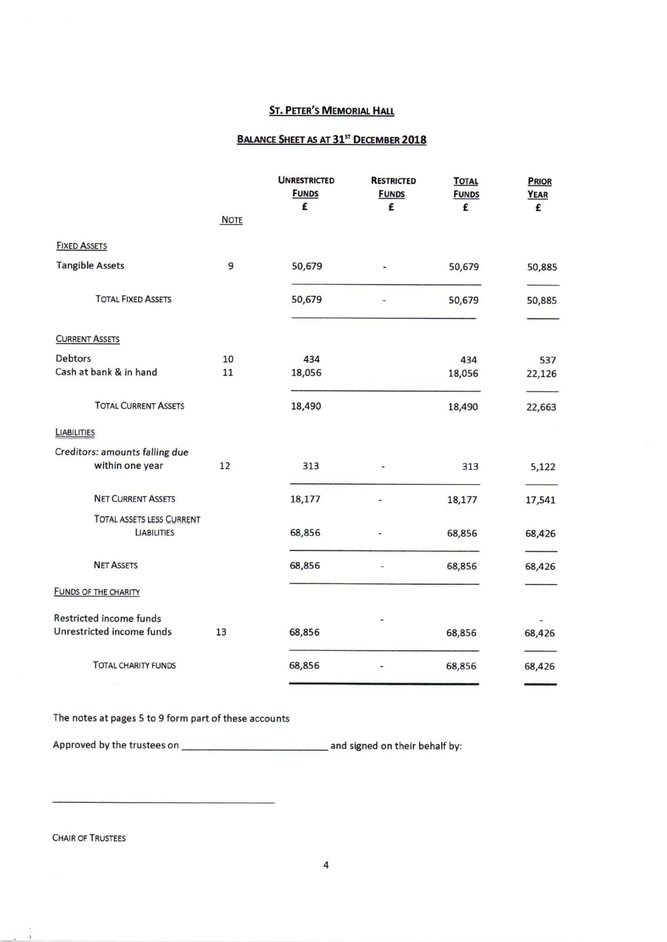### **ST. PETER'S MEMORIAL HALL**

#### BALANCE SHEET AS AT 31<sup>st</sup> DECEMBER 2018

|                                  | <b>NOTE</b> | <b>UNRESTRICTED</b><br><b>FUNDS</b><br>£ | <b>RESTRICTED</b><br><b>FUNDS</b><br>£ | <b>TOTAL</b><br><b>FUNDS</b><br>£ | PRIOR<br>YEAR<br>£ |
|----------------------------------|-------------|------------------------------------------|----------------------------------------|-----------------------------------|--------------------|
| <b>FIXED ASSETS</b>              |             |                                          |                                        |                                   |                    |
| <b>Tangible Assets</b>           | 9           | 50,679                                   |                                        | 50,679                            | 50,885             |
| <b>TOTAL FIXED ASSETS</b>        |             | 50,679                                   |                                        | 50,679                            | 50,885             |
| <b>CURRENT ASSETS</b>            |             |                                          |                                        |                                   |                    |
| Debtors                          | 10          | 434                                      |                                        | 434                               | 537                |
| Cash at bank & in hand           | 11          | 18,056                                   |                                        | 18,056                            | 22,126             |
| <b>TOTAL CURRENT ASSETS</b>      |             | 18,490                                   |                                        | 18,490                            | 22,663             |
| <b>LIABILITIES</b>               |             |                                          |                                        |                                   |                    |
| Creditors: amounts falling due   |             |                                          |                                        |                                   |                    |
| within one year                  | 12          | 313                                      |                                        | 313                               | 5,122              |
| <b>NET CURRENT ASSETS</b>        |             | 18,177                                   |                                        | 18,177                            | 17,541             |
| <b>TOTAL ASSETS LESS CURRENT</b> |             |                                          |                                        |                                   |                    |
| <b>LIABILITIES</b>               |             | 68,856                                   |                                        | 68,856                            | 68,426             |
| <b>NET ASSETS</b>                |             | 68,856                                   |                                        | 68,856                            | 68,426             |
| <b>FUNDS OF THE CHARITY</b>      |             |                                          |                                        |                                   |                    |
| Restricted income funds          |             |                                          |                                        |                                   |                    |
| Unrestricted income funds        | 13          | 68,856                                   |                                        | 68,856                            | 68,426             |
| <b>TOTAL CHARITY FUNDS</b>       |             | 68,856                                   |                                        | 68,856                            | 68,426             |

The notes at pages 5 to 9 form part of these accounts

Approved by the trustees on and signed on their behalf by:

CHAIR OF TRUSTEES

ò,  $\sim$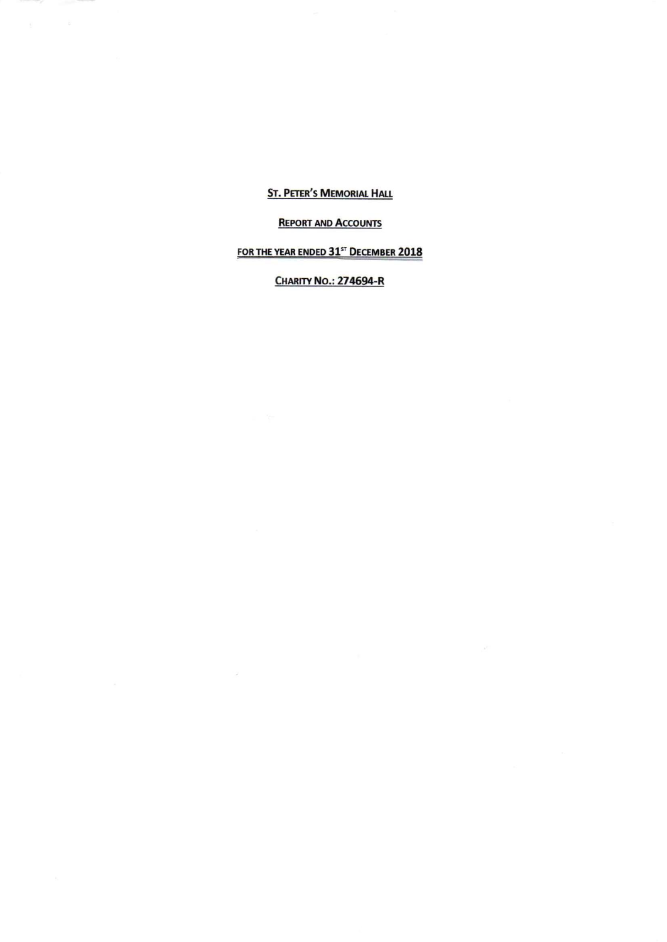**ST. PETER'S MEMORIAL HALL** 

### **REPORT AND ACCOUNTS**

# FOR THE YEAR ENDED 31st DECEMBER 2018

**CHARITY NO.: 274694-R** 

 $\mathcal{A}$